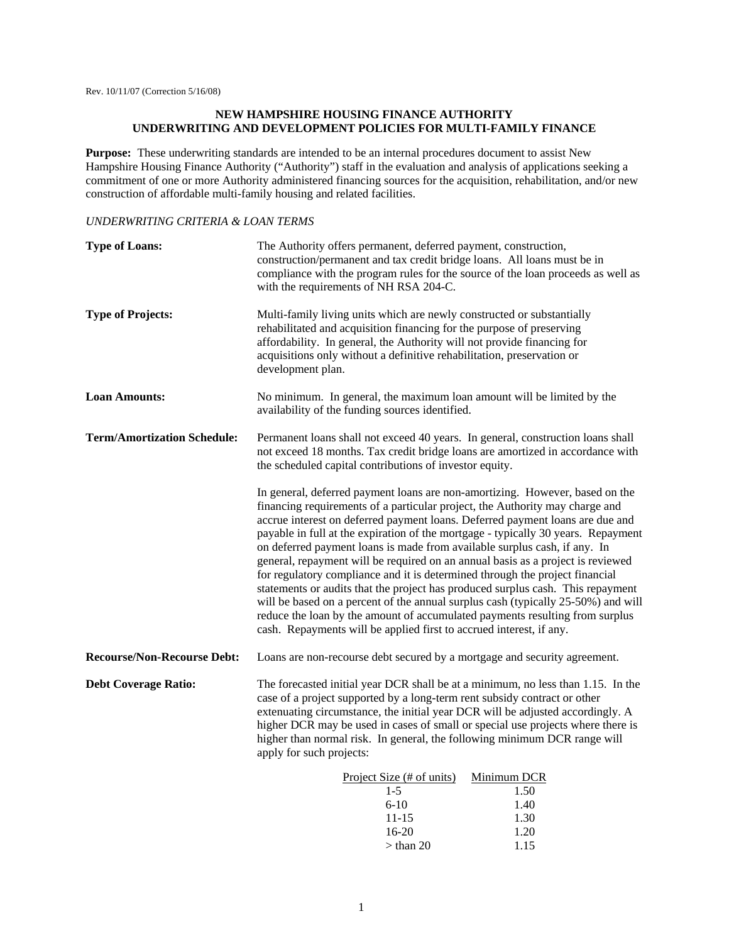# **NEW HAMPSHIRE HOUSING FINANCE AUTHORITY UNDERWRITING AND DEVELOPMENT POLICIES FOR MULTI-FAMILY FINANCE**

**Purpose:** These underwriting standards are intended to be an internal procedures document to assist New Hampshire Housing Finance Authority ("Authority") staff in the evaluation and analysis of applications seeking a commitment of one or more Authority administered financing sources for the acquisition, rehabilitation, and/or new construction of affordable multi-family housing and related facilities.

## *UNDERWRITING CRITERIA & LOAN TERMS*

| <b>Type of Loans:</b>              | The Authority offers permanent, deferred payment, construction,<br>construction/permanent and tax credit bridge loans. All loans must be in<br>compliance with the program rules for the source of the loan proceeds as well as<br>with the requirements of NH RSA 204-C.                                                                                                                                                                                                                                                                                                                                                                                                                                                                                                                                                                                                                                         |
|------------------------------------|-------------------------------------------------------------------------------------------------------------------------------------------------------------------------------------------------------------------------------------------------------------------------------------------------------------------------------------------------------------------------------------------------------------------------------------------------------------------------------------------------------------------------------------------------------------------------------------------------------------------------------------------------------------------------------------------------------------------------------------------------------------------------------------------------------------------------------------------------------------------------------------------------------------------|
| <b>Type of Projects:</b>           | Multi-family living units which are newly constructed or substantially<br>rehabilitated and acquisition financing for the purpose of preserving<br>affordability. In general, the Authority will not provide financing for<br>acquisitions only without a definitive rehabilitation, preservation or<br>development plan.                                                                                                                                                                                                                                                                                                                                                                                                                                                                                                                                                                                         |
| <b>Loan Amounts:</b>               | No minimum. In general, the maximum loan amount will be limited by the<br>availability of the funding sources identified.                                                                                                                                                                                                                                                                                                                                                                                                                                                                                                                                                                                                                                                                                                                                                                                         |
| <b>Term/Amortization Schedule:</b> | Permanent loans shall not exceed 40 years. In general, construction loans shall<br>not exceed 18 months. Tax credit bridge loans are amortized in accordance with<br>the scheduled capital contributions of investor equity.                                                                                                                                                                                                                                                                                                                                                                                                                                                                                                                                                                                                                                                                                      |
|                                    | In general, deferred payment loans are non-amortizing. However, based on the<br>financing requirements of a particular project, the Authority may charge and<br>accrue interest on deferred payment loans. Deferred payment loans are due and<br>payable in full at the expiration of the mortgage - typically 30 years. Repayment<br>on deferred payment loans is made from available surplus cash, if any. In<br>general, repayment will be required on an annual basis as a project is reviewed<br>for regulatory compliance and it is determined through the project financial<br>statements or audits that the project has produced surplus cash. This repayment<br>will be based on a percent of the annual surplus cash (typically 25-50%) and will<br>reduce the loan by the amount of accumulated payments resulting from surplus<br>cash. Repayments will be applied first to accrued interest, if any. |
| <b>Recourse/Non-Recourse Debt:</b> | Loans are non-recourse debt secured by a mortgage and security agreement.                                                                                                                                                                                                                                                                                                                                                                                                                                                                                                                                                                                                                                                                                                                                                                                                                                         |
| <b>Debt Coverage Ratio:</b>        | The forecasted initial year DCR shall be at a minimum, no less than 1.15. In the<br>case of a project supported by a long-term rent subsidy contract or other<br>extenuating circumstance, the initial year DCR will be adjusted accordingly. A<br>higher DCR may be used in cases of small or special use projects where there is<br>higher than normal risk. In general, the following minimum DCR range will<br>apply for such projects:                                                                                                                                                                                                                                                                                                                                                                                                                                                                       |
|                                    | Project Size (# of units)<br>Minimum DCR<br>$1 - 5$<br>1.50<br>$6 - 10$<br>1.40                                                                                                                                                                                                                                                                                                                                                                                                                                                                                                                                                                                                                                                                                                                                                                                                                                   |

 $>$  than 20 1.15

 11-15 1.30 16-20 1.20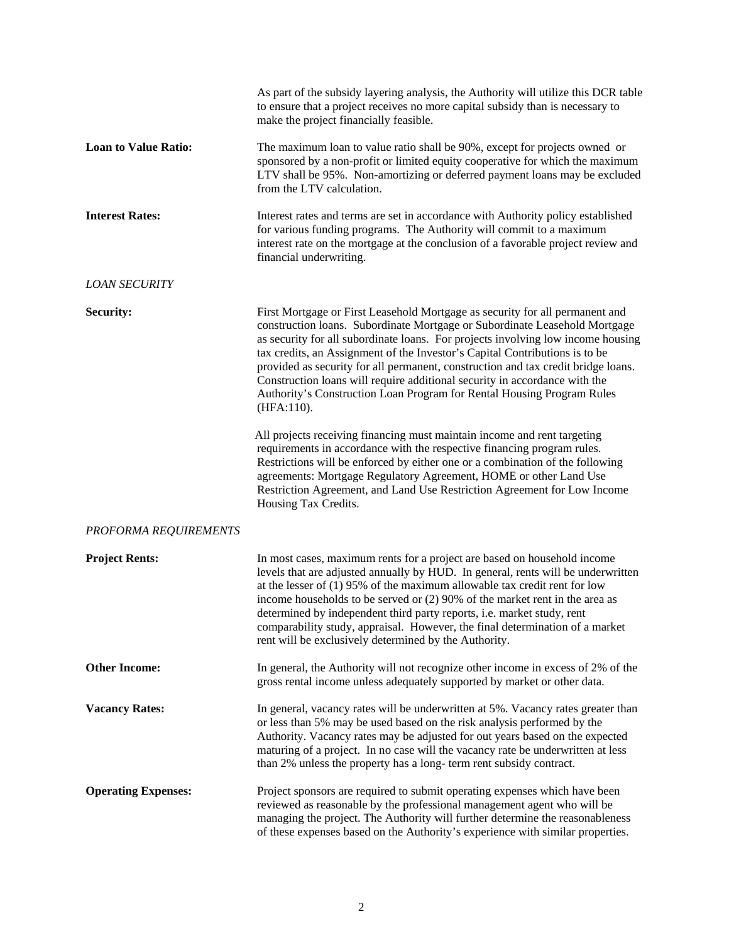|                             | As part of the subsidy layering analysis, the Authority will utilize this DCR table<br>to ensure that a project receives no more capital subsidy than is necessary to<br>make the project financially feasible.                                                                                                                                                                                                                                                                                                                                                                          |
|-----------------------------|------------------------------------------------------------------------------------------------------------------------------------------------------------------------------------------------------------------------------------------------------------------------------------------------------------------------------------------------------------------------------------------------------------------------------------------------------------------------------------------------------------------------------------------------------------------------------------------|
| <b>Loan to Value Ratio:</b> | The maximum loan to value ratio shall be 90%, except for projects owned or<br>sponsored by a non-profit or limited equity cooperative for which the maximum<br>LTV shall be 95%. Non-amortizing or deferred payment loans may be excluded<br>from the LTV calculation.                                                                                                                                                                                                                                                                                                                   |
| <b>Interest Rates:</b>      | Interest rates and terms are set in accordance with Authority policy established<br>for various funding programs. The Authority will commit to a maximum<br>interest rate on the mortgage at the conclusion of a favorable project review and<br>financial underwriting.                                                                                                                                                                                                                                                                                                                 |
| <b>LOAN SECURITY</b>        |                                                                                                                                                                                                                                                                                                                                                                                                                                                                                                                                                                                          |
| Security:                   | First Mortgage or First Leasehold Mortgage as security for all permanent and<br>construction loans. Subordinate Mortgage or Subordinate Leasehold Mortgage<br>as security for all subordinate loans. For projects involving low income housing<br>tax credits, an Assignment of the Investor's Capital Contributions is to be<br>provided as security for all permanent, construction and tax credit bridge loans.<br>Construction loans will require additional security in accordance with the<br>Authority's Construction Loan Program for Rental Housing Program Rules<br>(HFA:110). |
|                             | All projects receiving financing must maintain income and rent targeting<br>requirements in accordance with the respective financing program rules.<br>Restrictions will be enforced by either one or a combination of the following<br>agreements: Mortgage Regulatory Agreement, HOME or other Land Use<br>Restriction Agreement, and Land Use Restriction Agreement for Low Income<br>Housing Tax Credits.                                                                                                                                                                            |
| PROFORMA REQUIREMENTS       |                                                                                                                                                                                                                                                                                                                                                                                                                                                                                                                                                                                          |
| <b>Project Rents:</b>       | In most cases, maximum rents for a project are based on household income<br>levels that are adjusted annually by HUD. In general, rents will be underwritten<br>at the lesser of $(1)$ 95% of the maximum allowable tax credit rent for low<br>income households to be served or $(2)$ 90% of the market rent in the area as<br>determined by independent third party reports, i.e. market study, rent<br>comparability study, appraisal. However, the final determination of a market<br>rent will be exclusively determined by the Authority.                                          |
| <b>Other Income:</b>        | In general, the Authority will not recognize other income in excess of 2% of the<br>gross rental income unless adequately supported by market or other data.                                                                                                                                                                                                                                                                                                                                                                                                                             |
| <b>Vacancy Rates:</b>       | In general, vacancy rates will be underwritten at 5%. Vacancy rates greater than<br>or less than 5% may be used based on the risk analysis performed by the<br>Authority. Vacancy rates may be adjusted for out years based on the expected<br>maturing of a project. In no case will the vacancy rate be underwritten at less<br>than 2% unless the property has a long-term rent subsidy contract.                                                                                                                                                                                     |
| <b>Operating Expenses:</b>  | Project sponsors are required to submit operating expenses which have been<br>reviewed as reasonable by the professional management agent who will be<br>managing the project. The Authority will further determine the reasonableness<br>of these expenses based on the Authority's experience with similar properties.                                                                                                                                                                                                                                                                 |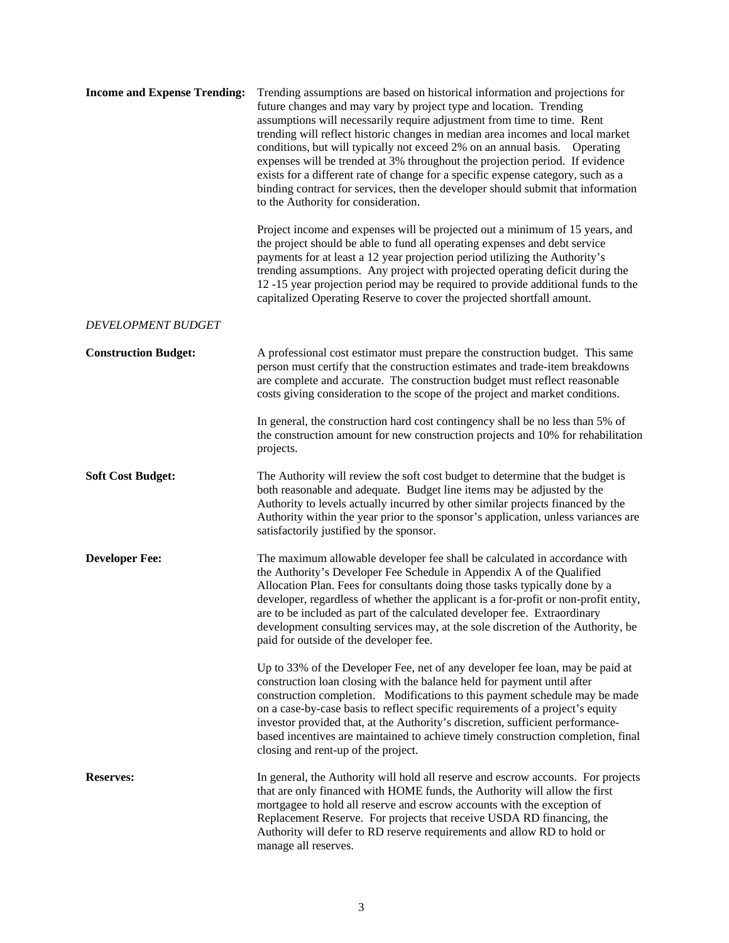| <b>Income and Expense Trending:</b> | Trending assumptions are based on historical information and projections for<br>future changes and may vary by project type and location. Trending<br>assumptions will necessarily require adjustment from time to time. Rent<br>trending will reflect historic changes in median area incomes and local market<br>conditions, but will typically not exceed 2% on an annual basis. Operating<br>expenses will be trended at 3% throughout the projection period. If evidence<br>exists for a different rate of change for a specific expense category, such as a<br>binding contract for services, then the developer should submit that information<br>to the Authority for consideration. |
|-------------------------------------|----------------------------------------------------------------------------------------------------------------------------------------------------------------------------------------------------------------------------------------------------------------------------------------------------------------------------------------------------------------------------------------------------------------------------------------------------------------------------------------------------------------------------------------------------------------------------------------------------------------------------------------------------------------------------------------------|
|                                     | Project income and expenses will be projected out a minimum of 15 years, and<br>the project should be able to fund all operating expenses and debt service<br>payments for at least a 12 year projection period utilizing the Authority's<br>trending assumptions. Any project with projected operating deficit during the<br>12 -15 year projection period may be required to provide additional funds to the<br>capitalized Operating Reserve to cover the projected shortfall amount.                                                                                                                                                                                                     |
| <b>DEVELOPMENT BUDGET</b>           |                                                                                                                                                                                                                                                                                                                                                                                                                                                                                                                                                                                                                                                                                              |
| <b>Construction Budget:</b>         | A professional cost estimator must prepare the construction budget. This same<br>person must certify that the construction estimates and trade-item breakdowns<br>are complete and accurate. The construction budget must reflect reasonable<br>costs giving consideration to the scope of the project and market conditions.                                                                                                                                                                                                                                                                                                                                                                |
|                                     | In general, the construction hard cost contingency shall be no less than 5% of<br>the construction amount for new construction projects and 10% for rehabilitation<br>projects.                                                                                                                                                                                                                                                                                                                                                                                                                                                                                                              |
| <b>Soft Cost Budget:</b>            | The Authority will review the soft cost budget to determine that the budget is<br>both reasonable and adequate. Budget line items may be adjusted by the<br>Authority to levels actually incurred by other similar projects financed by the<br>Authority within the year prior to the sponsor's application, unless variances are<br>satisfactorily justified by the sponsor.                                                                                                                                                                                                                                                                                                                |
| <b>Developer Fee:</b>               | The maximum allowable developer fee shall be calculated in accordance with<br>the Authority's Developer Fee Schedule in Appendix A of the Qualified<br>Allocation Plan. Fees for consultants doing those tasks typically done by a<br>developer, regardless of whether the applicant is a for-profit or non-profit entity,<br>are to be included as part of the calculated developer fee. Extraordinary<br>development consulting services may, at the sole discretion of the Authority, be<br>paid for outside of the developer fee.                                                                                                                                                        |
|                                     | Up to 33% of the Developer Fee, net of any developer fee loan, may be paid at<br>construction loan closing with the balance held for payment until after<br>construction completion. Modifications to this payment schedule may be made<br>on a case-by-case basis to reflect specific requirements of a project's equity<br>investor provided that, at the Authority's discretion, sufficient performance-<br>based incentives are maintained to achieve timely construction completion, final<br>closing and rent-up of the project.                                                                                                                                                       |
| <b>Reserves:</b>                    | In general, the Authority will hold all reserve and escrow accounts. For projects<br>that are only financed with HOME funds, the Authority will allow the first<br>mortgagee to hold all reserve and escrow accounts with the exception of<br>Replacement Reserve. For projects that receive USDA RD financing, the<br>Authority will defer to RD reserve requirements and allow RD to hold or<br>manage all reserves.                                                                                                                                                                                                                                                                       |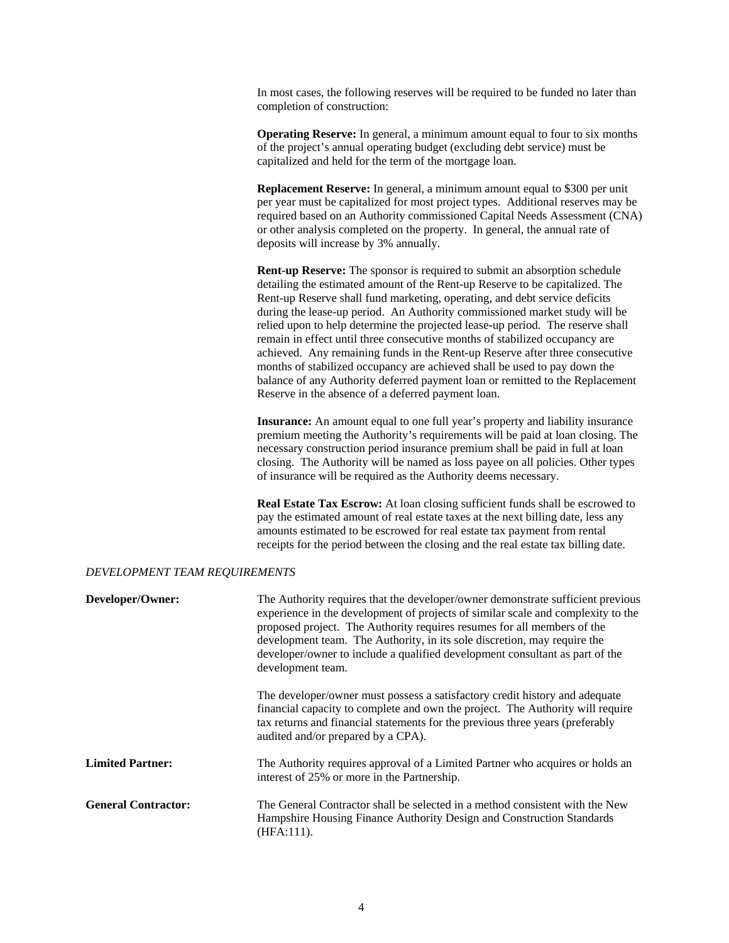In most cases, the following reserves will be required to be funded no later than completion of construction:

**Operating Reserve:** In general, a minimum amount equal to four to six months of the project's annual operating budget (excluding debt service) must be capitalized and held for the term of the mortgage loan.

 **Replacement Reserve:** In general, a minimum amount equal to \$300 per unit per year must be capitalized for most project types. Additional reserves may be required based on an Authority commissioned Capital Needs Assessment (CNA) or other analysis completed on the property. In general, the annual rate of deposits will increase by 3% annually.

**Rent-up Reserve:** The sponsor is required to submit an absorption schedule detailing the estimated amount of the Rent-up Reserve to be capitalized. The Rent-up Reserve shall fund marketing, operating, and debt service deficits during the lease-up period. An Authority commissioned market study will be relied upon to help determine the projected lease-up period. The reserve shall remain in effect until three consecutive months of stabilized occupancy are achieved. Any remaining funds in the Rent-up Reserve after three consecutive months of stabilized occupancy are achieved shall be used to pay down the balance of any Authority deferred payment loan or remitted to the Replacement Reserve in the absence of a deferred payment loan.

 **Insurance:** An amount equal to one full year's property and liability insurance premium meeting the Authority's requirements will be paid at loan closing. The necessary construction period insurance premium shall be paid in full at loan closing. The Authority will be named as loss payee on all policies. Other types of insurance will be required as the Authority deems necessary.

 **Real Estate Tax Escrow:** At loan closing sufficient funds shall be escrowed to pay the estimated amount of real estate taxes at the next billing date, less any amounts estimated to be escrowed for real estate tax payment from rental receipts for the period between the closing and the real estate tax billing date.

### *DEVELOPMENT TEAM REQUIREMENTS*

| Developer/Owner:           | The Authority requires that the developer/owner demonstrate sufficient previous<br>experience in the development of projects of similar scale and complexity to the<br>proposed project. The Authority requires resumes for all members of the<br>development team. The Authority, in its sole discretion, may require the<br>developer/owner to include a qualified development consultant as part of the<br>development team. |
|----------------------------|---------------------------------------------------------------------------------------------------------------------------------------------------------------------------------------------------------------------------------------------------------------------------------------------------------------------------------------------------------------------------------------------------------------------------------|
|                            | The developer/owner must possess a satisfactory credit history and adequate<br>financial capacity to complete and own the project. The Authority will require<br>tax returns and financial statements for the previous three years (preferably<br>audited and/or prepared by a CPA).                                                                                                                                            |
| <b>Limited Partner:</b>    | The Authority requires approval of a Limited Partner who acquires or holds an<br>interest of 25% or more in the Partnership.                                                                                                                                                                                                                                                                                                    |
| <b>General Contractor:</b> | The General Contractor shall be selected in a method consistent with the New<br>Hampshire Housing Finance Authority Design and Construction Standards<br>$(HFA:111)$ .                                                                                                                                                                                                                                                          |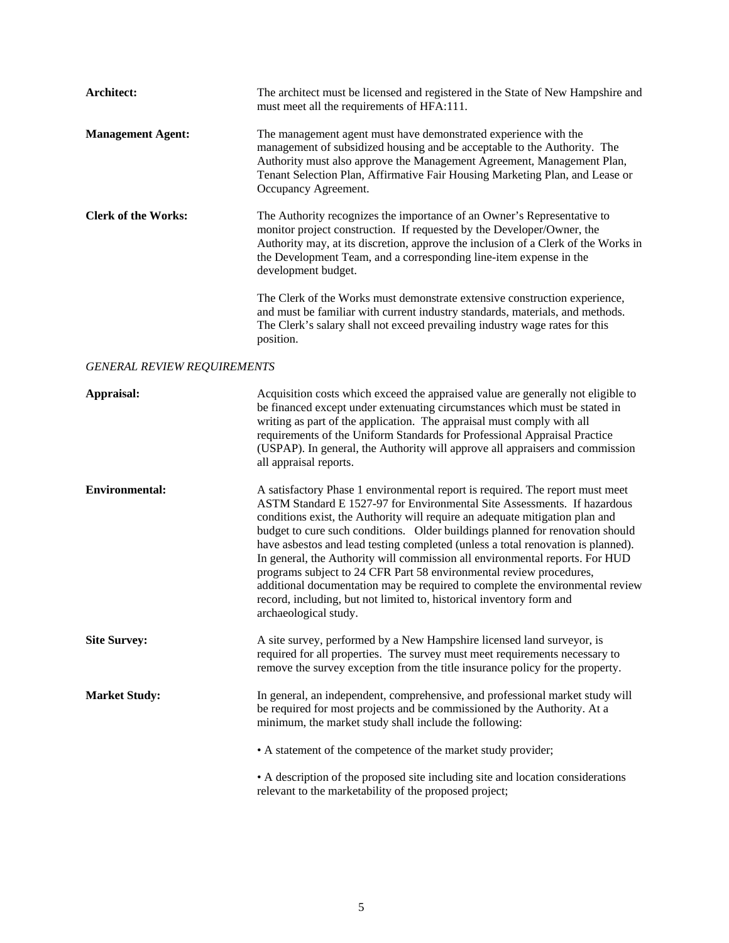| Architect:                         | The architect must be licensed and registered in the State of New Hampshire and<br>must meet all the requirements of HFA:111.                                                                                                                                                                                                                                                                                                                                                                                                                                                                                                                                                                                                                           |
|------------------------------------|---------------------------------------------------------------------------------------------------------------------------------------------------------------------------------------------------------------------------------------------------------------------------------------------------------------------------------------------------------------------------------------------------------------------------------------------------------------------------------------------------------------------------------------------------------------------------------------------------------------------------------------------------------------------------------------------------------------------------------------------------------|
| <b>Management Agent:</b>           | The management agent must have demonstrated experience with the<br>management of subsidized housing and be acceptable to the Authority. The<br>Authority must also approve the Management Agreement, Management Plan,<br>Tenant Selection Plan, Affirmative Fair Housing Marketing Plan, and Lease or<br>Occupancy Agreement.                                                                                                                                                                                                                                                                                                                                                                                                                           |
| <b>Clerk of the Works:</b>         | The Authority recognizes the importance of an Owner's Representative to<br>monitor project construction. If requested by the Developer/Owner, the<br>Authority may, at its discretion, approve the inclusion of a Clerk of the Works in<br>the Development Team, and a corresponding line-item expense in the<br>development budget.                                                                                                                                                                                                                                                                                                                                                                                                                    |
|                                    | The Clerk of the Works must demonstrate extensive construction experience,<br>and must be familiar with current industry standards, materials, and methods.<br>The Clerk's salary shall not exceed prevailing industry wage rates for this<br>position.                                                                                                                                                                                                                                                                                                                                                                                                                                                                                                 |
| <b>GENERAL REVIEW REQUIREMENTS</b> |                                                                                                                                                                                                                                                                                                                                                                                                                                                                                                                                                                                                                                                                                                                                                         |
| Appraisal:                         | Acquisition costs which exceed the appraised value are generally not eligible to<br>be financed except under extenuating circumstances which must be stated in<br>writing as part of the application. The appraisal must comply with all<br>requirements of the Uniform Standards for Professional Appraisal Practice<br>(USPAP). In general, the Authority will approve all appraisers and commission<br>all appraisal reports.                                                                                                                                                                                                                                                                                                                        |
| <b>Environmental:</b>              | A satisfactory Phase 1 environmental report is required. The report must meet<br>ASTM Standard E 1527-97 for Environmental Site Assessments. If hazardous<br>conditions exist, the Authority will require an adequate mitigation plan and<br>budget to cure such conditions. Older buildings planned for renovation should<br>have asbestos and lead testing completed (unless a total renovation is planned).<br>In general, the Authority will commission all environmental reports. For HUD<br>programs subject to 24 CFR Part 58 environmental review procedures,<br>additional documentation may be required to complete the environmental review<br>record, including, but not limited to, historical inventory form and<br>archaeological study. |
| <b>Site Survey:</b>                | A site survey, performed by a New Hampshire licensed land surveyor, is<br>required for all properties. The survey must meet requirements necessary to<br>remove the survey exception from the title insurance policy for the property.                                                                                                                                                                                                                                                                                                                                                                                                                                                                                                                  |
| <b>Market Study:</b>               | In general, an independent, comprehensive, and professional market study will<br>be required for most projects and be commissioned by the Authority. At a<br>minimum, the market study shall include the following:                                                                                                                                                                                                                                                                                                                                                                                                                                                                                                                                     |
|                                    | • A statement of the competence of the market study provider;                                                                                                                                                                                                                                                                                                                                                                                                                                                                                                                                                                                                                                                                                           |
|                                    | • A description of the proposed site including site and location considerations<br>relevant to the marketability of the proposed project;                                                                                                                                                                                                                                                                                                                                                                                                                                                                                                                                                                                                               |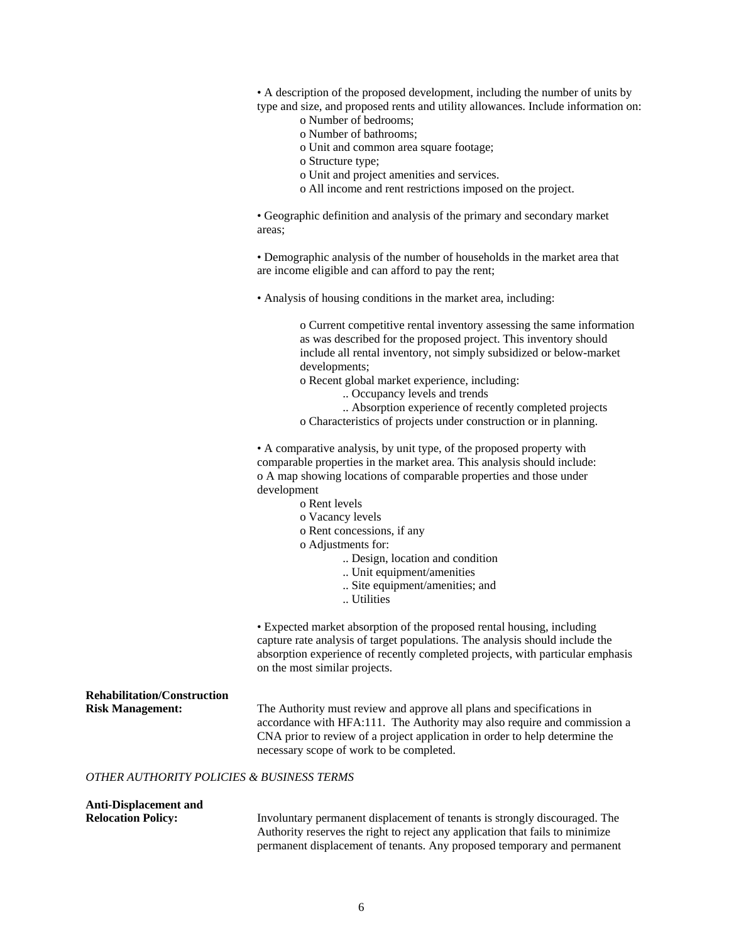• A description of the proposed development, including the number of units by type and size, and proposed rents and utility allowances. Include information on:

- o Number of bedrooms;
- o Number of bathrooms;
- o Unit and common area square footage;
- o Structure type;
- o Unit and project amenities and services.
- o All income and rent restrictions imposed on the project.

• Geographic definition and analysis of the primary and secondary market areas;

• Demographic analysis of the number of households in the market area that are income eligible and can afford to pay the rent;

• Analysis of housing conditions in the market area, including:

o Current competitive rental inventory assessing the same information as was described for the proposed project. This inventory should include all rental inventory, not simply subsidized or below-market developments;

o Recent global market experience, including:

- .. Occupancy levels and trends
- .. Absorption experience of recently completed projects

o Characteristics of projects under construction or in planning.

• A comparative analysis, by unit type, of the proposed property with comparable properties in the market area. This analysis should include: o A map showing locations of comparable properties and those under development

- o Rent levels
- o Vacancy levels
- o Rent concessions, if any
- o Adjustments for:
	- .. Design, location and condition
	- .. Unit equipment/amenities
	- .. Site equipment/amenities; and
	- .. Utilities

• Expected market absorption of the proposed rental housing, including capture rate analysis of target populations. The analysis should include the absorption experience of recently completed projects, with particular emphasis on the most similar projects.

**Rehabilitation/Construction Risk Management:** The Authority must review and approve all plans and specifications in accordance with HFA:111. The Authority may also require and commission a CNA prior to review of a project application in order to help determine the necessary scope of work to be completed. *OTHER AUTHORITY POLICIES & BUSINESS TERMS* 

# **Anti-Displacement and**

**Relocation Policy:** Involuntary permanent displacement of tenants is strongly discouraged. The Authority reserves the right to reject any application that fails to minimize permanent displacement of tenants. Any proposed temporary and permanent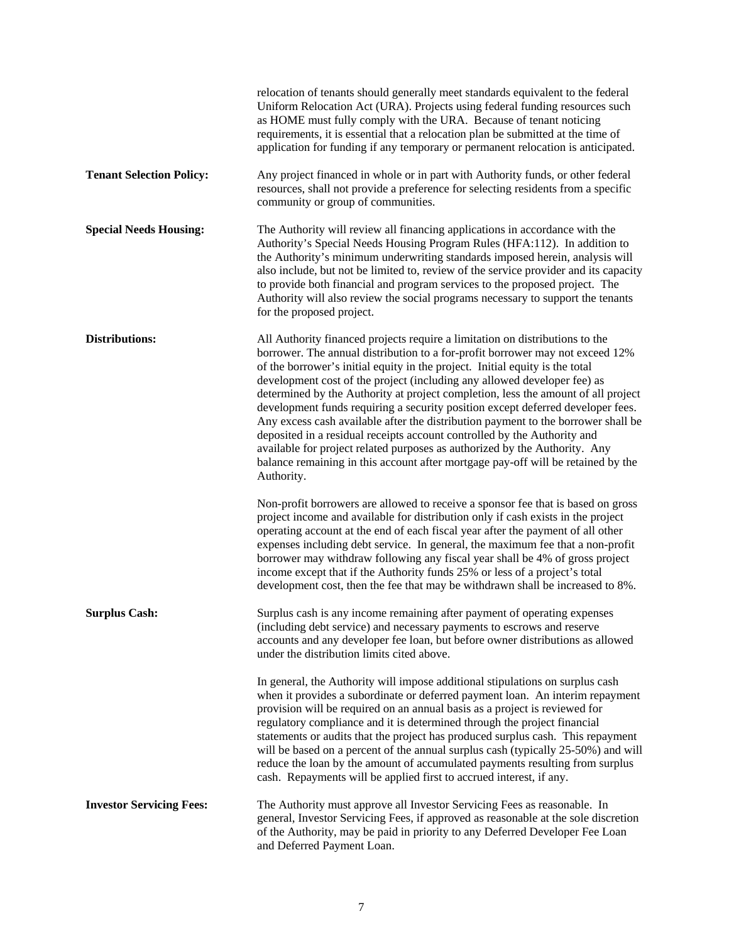|                                 | relocation of tenants should generally meet standards equivalent to the federal<br>Uniform Relocation Act (URA). Projects using federal funding resources such<br>as HOME must fully comply with the URA. Because of tenant noticing<br>requirements, it is essential that a relocation plan be submitted at the time of<br>application for funding if any temporary or permanent relocation is anticipated.                                                                                                                                                                                                                                                                                                                                                                                                                                       |
|---------------------------------|----------------------------------------------------------------------------------------------------------------------------------------------------------------------------------------------------------------------------------------------------------------------------------------------------------------------------------------------------------------------------------------------------------------------------------------------------------------------------------------------------------------------------------------------------------------------------------------------------------------------------------------------------------------------------------------------------------------------------------------------------------------------------------------------------------------------------------------------------|
| <b>Tenant Selection Policy:</b> | Any project financed in whole or in part with Authority funds, or other federal<br>resources, shall not provide a preference for selecting residents from a specific<br>community or group of communities.                                                                                                                                                                                                                                                                                                                                                                                                                                                                                                                                                                                                                                         |
| <b>Special Needs Housing:</b>   | The Authority will review all financing applications in accordance with the<br>Authority's Special Needs Housing Program Rules (HFA:112). In addition to<br>the Authority's minimum underwriting standards imposed herein, analysis will<br>also include, but not be limited to, review of the service provider and its capacity<br>to provide both financial and program services to the proposed project. The<br>Authority will also review the social programs necessary to support the tenants<br>for the proposed project.                                                                                                                                                                                                                                                                                                                    |
| Distributions:                  | All Authority financed projects require a limitation on distributions to the<br>borrower. The annual distribution to a for-profit borrower may not exceed 12%<br>of the borrower's initial equity in the project. Initial equity is the total<br>development cost of the project (including any allowed developer fee) as<br>determined by the Authority at project completion, less the amount of all project<br>development funds requiring a security position except deferred developer fees.<br>Any excess cash available after the distribution payment to the borrower shall be<br>deposited in a residual receipts account controlled by the Authority and<br>available for project related purposes as authorized by the Authority. Any<br>balance remaining in this account after mortgage pay-off will be retained by the<br>Authority. |
|                                 | Non-profit borrowers are allowed to receive a sponsor fee that is based on gross<br>project income and available for distribution only if cash exists in the project<br>operating account at the end of each fiscal year after the payment of all other<br>expenses including debt service. In general, the maximum fee that a non-profit<br>borrower may withdraw following any fiscal year shall be 4% of gross project<br>income except that if the Authority funds 25% or less of a project's total<br>development cost, then the fee that may be withdrawn shall be increased to 8%.                                                                                                                                                                                                                                                          |
| <b>Surplus Cash:</b>            | Surplus cash is any income remaining after payment of operating expenses<br>(including debt service) and necessary payments to escrows and reserve<br>accounts and any developer fee loan, but before owner distributions as allowed<br>under the distribution limits cited above.                                                                                                                                                                                                                                                                                                                                                                                                                                                                                                                                                                 |
|                                 | In general, the Authority will impose additional stipulations on surplus cash<br>when it provides a subordinate or deferred payment loan. An interim repayment<br>provision will be required on an annual basis as a project is reviewed for<br>regulatory compliance and it is determined through the project financial<br>statements or audits that the project has produced surplus cash. This repayment<br>will be based on a percent of the annual surplus cash (typically 25-50%) and will<br>reduce the loan by the amount of accumulated payments resulting from surplus<br>cash. Repayments will be applied first to accrued interest, if any.                                                                                                                                                                                            |
| <b>Investor Servicing Fees:</b> | The Authority must approve all Investor Servicing Fees as reasonable. In<br>general, Investor Servicing Fees, if approved as reasonable at the sole discretion<br>of the Authority, may be paid in priority to any Deferred Developer Fee Loan<br>and Deferred Payment Loan.                                                                                                                                                                                                                                                                                                                                                                                                                                                                                                                                                                       |